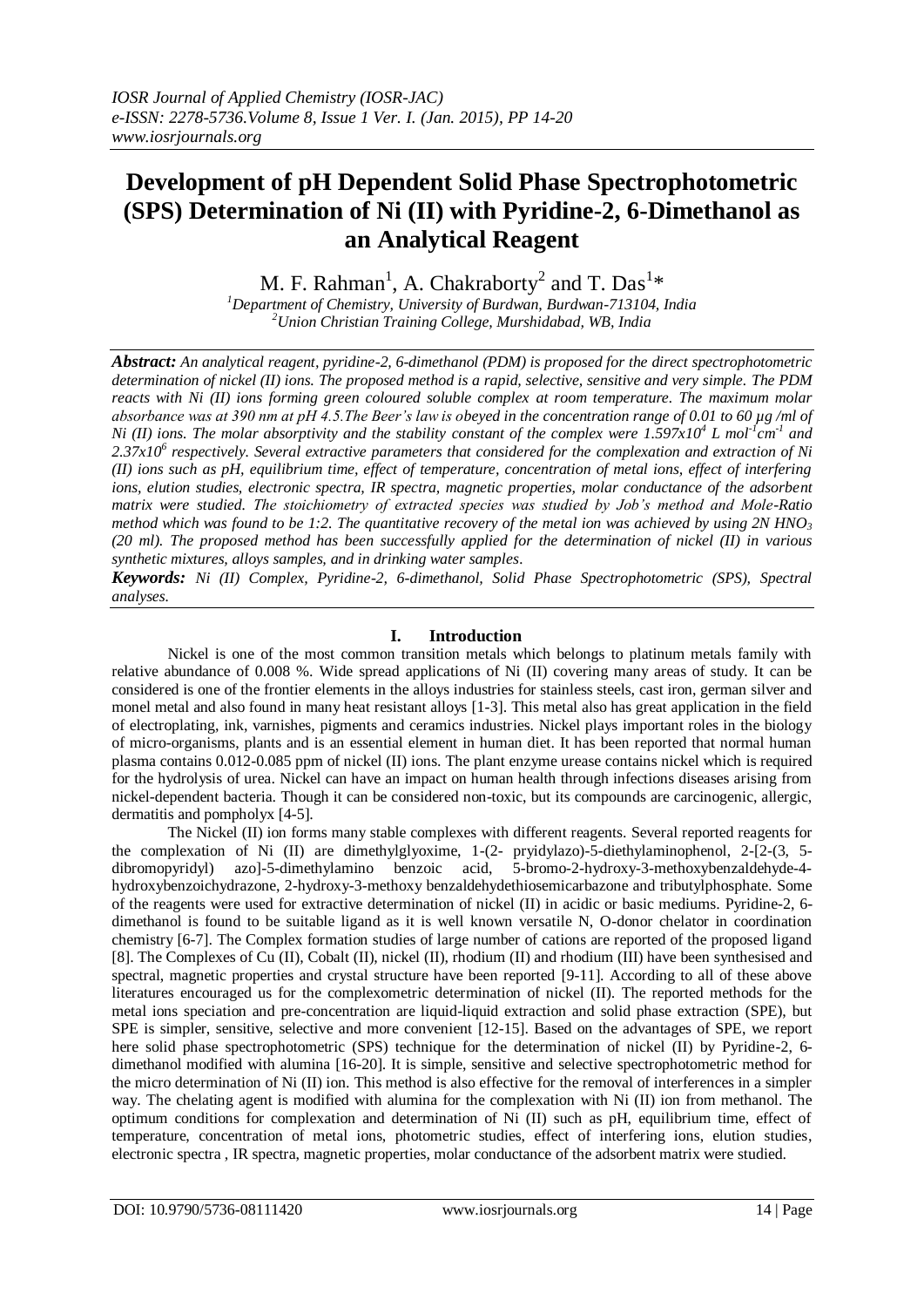# **Development of pH Dependent Solid Phase Spectrophotometric (SPS) Determination of Ni (II) with Pyridine-2, 6-Dimethanol as an Analytical Reagent**

M. F. Rahman<sup>1</sup>, A. Chakraborty<sup>2</sup> and T. Das<sup>1\*</sup>

*<sup>1</sup>Department of Chemistry, University of Burdwan, Burdwan-713104, India <sup>2</sup>Union Christian Training College, Murshidabad, WB, India*

*Abstract: An analytical reagent, pyridine-2, 6-dimethanol (PDM) is proposed for the direct spectrophotometric determination of nickel (II) ions. The proposed method is a rapid, selective, sensitive and very simple. The PDM reacts with Ni (II) ions forming green coloured soluble complex at room temperature. The maximum molar absorbance was at 390 nm at pH 4.5.The Beer's law is obeyed in the concentration range of 0.01 to 60 µg /ml of Ni* (*II*) ions. The molar absorptivity and the stability constant of the complex were 1.597x10<sup>4</sup> L mol<sup>-1</sup>cm<sup>-1</sup> and *2.37x10<sup>6</sup> respectively. Several extractive parameters that considered for the complexation and extraction of Ni (II) ions such as pH, equilibrium time, effect of temperature, concentration of metal ions, effect of interfering ions, elution studies, electronic spectra, IR spectra, magnetic properties, molar conductance of the adsorbent matrix were studied. The stoichiometry of extracted species was studied by Job's method and Mole-Ratio method which was found to be 1:2. The quantitative recovery of the metal ion was achieved by using*  $2N HNO<sub>3</sub>$ *(20 ml). The proposed method has been successfully applied for the determination of nickel (II) in various synthetic mixtures, alloys samples, and in drinking water samples.*

*Keywords: Ni (II) Complex, Pyridine-2, 6-dimethanol, Solid Phase Spectrophotometric (SPS), Spectral analyses.*

# **I. Introduction**

Nickel is one of the most common transition metals which belongs to platinum metals family with relative abundance of 0.008 %. Wide spread applications of Ni (II) covering many areas of study. It can be considered is one of the frontier elements in the alloys industries for stainless steels, cast iron, german silver and monel metal and also found in many heat resistant alloys [1-3]. This metal also has great application in the field of electroplating, ink, varnishes, pigments and ceramics industries. Nickel plays important roles in the biology of micro-organisms, plants and is an essential element in human diet. It has been reported that normal human plasma contains 0.012-0.085 ppm of nickel (II) ions. The plant enzyme urease contains nickel which is required for the hydrolysis of urea. Nickel can have an impact on human health through infections diseases arising from nickel-dependent bacteria. Though it can be considered non-toxic, but its compounds are carcinogenic, allergic, dermatitis and pompholyx [4-5].

The Nickel (II) ion forms many stable complexes with different reagents. Several reported reagents for the complexation of Ni (II) are dimethylglyoxime, 1-(2- pryidylazo)-5-diethylaminophenol, 2-[2-(3, 5 dibromopyridyl) azo]-5-dimethylamino benzoic acid, 5-bromo-2-hydroxy-3-methoxybenzaldehyde-4 hydroxybenzoichydrazone, 2-hydroxy-3-methoxy benzaldehydethiosemicarbazone and tributylphosphate. Some of the reagents were used for extractive determination of nickel (II) in acidic or basic mediums. Pyridine-2, 6 dimethanol is found to be suitable ligand as it is well known versatile N, O-donor chelator in coordination chemistry [6-7]. The Complex formation studies of large number of cations are reported of the proposed ligand [8]. The Complexes of Cu (II), Cobalt (II), nickel (II), rhodium (II) and rhodium (III) have been synthesised and spectral, magnetic properties and crystal structure have been reported [9-11]. According to all of these above literatures encouraged us for the complexometric determination of nickel (II). The reported methods for the metal ions speciation and pre-concentration are liquid-liquid extraction and solid phase extraction (SPE), but SPE is simpler, sensitive, selective and more convenient [12-15]. Based on the advantages of SPE, we report here solid phase spectrophotometric (SPS) technique for the determination of nickel (II) by Pyridine-2, 6dimethanol modified with alumina [16-20]. It is simple, sensitive and selective spectrophotometric method for the micro determination of Ni (II) ion. This method is also effective for the removal of interferences in a simpler way. The chelating agent is modified with alumina for the complexation with Ni (II) ion from methanol. The optimum conditions for complexation and determination of Ni (II) such as pH, equilibrium time, effect of temperature, concentration of metal ions, photometric studies, effect of interfering ions, elution studies, electronic spectra , IR spectra, magnetic properties, molar conductance of the adsorbent matrix were studied.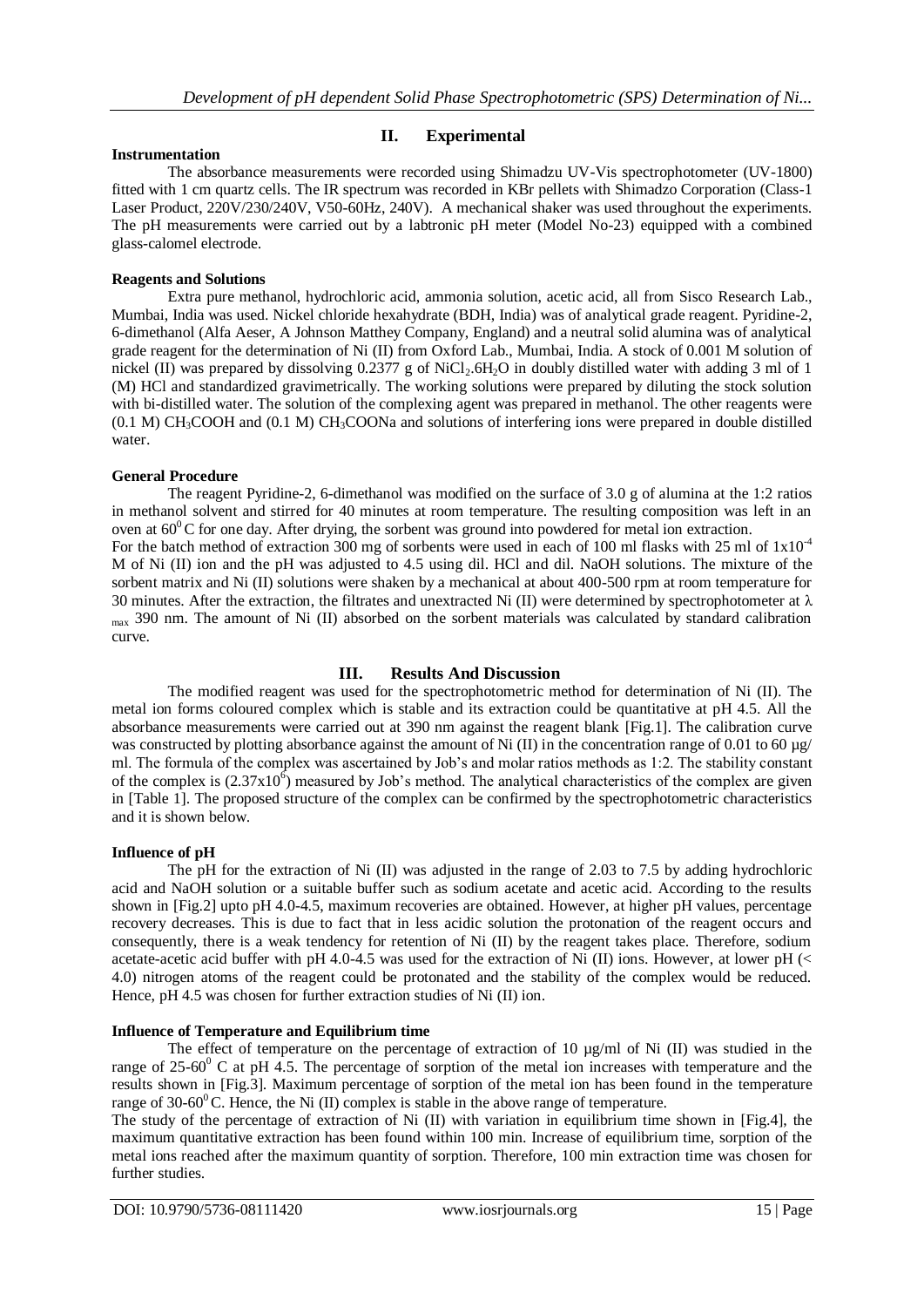#### **Instrumentation**

## **II. Experimental**

The absorbance measurements were recorded using Shimadzu UV-Vis spectrophotometer (UV-1800) fitted with 1 cm quartz cells. The IR spectrum was recorded in KBr pellets with Shimadzo Corporation (Class-1 Laser Product, 220V/230/240V, V50-60Hz, 240V). A mechanical shaker was used throughout the experiments. The pH measurements were carried out by a labtronic pH meter (Model No-23) equipped with a combined glass-calomel electrode.

#### **Reagents and Solutions**

Extra pure methanol, hydrochloric acid, ammonia solution, acetic acid, all from Sisco Research Lab., Mumbai, India was used. Nickel chloride hexahydrate (BDH, India) was of analytical grade reagent. Pyridine-2, 6-dimethanol (Alfa Aeser, A Johnson Matthey Company, England) and a neutral solid alumina was of analytical grade reagent for the determination of Ni (II) from Oxford Lab., Mumbai, India. A stock of 0.001 M solution of nickel (II) was prepared by dissolving  $0.2377$  g of NiCl<sub>2</sub>.6H<sub>2</sub>O in doubly distilled water with adding 3 ml of 1 (M) HCl and standardized gravimetrically. The working solutions were prepared by diluting the stock solution with bi-distilled water. The solution of the complexing agent was prepared in methanol. The other reagents were (0.1 M) CH3COOH and (0.1 M) CH3COONa and solutions of interfering ions were prepared in double distilled water.

## **General Procedure**

The reagent Pyridine-2, 6-dimethanol was modified on the surface of 3.0 g of alumina at the 1:2 ratios in methanol solvent and stirred for 40 minutes at room temperature. The resulting composition was left in an oven at  $60^{\circ}$ C for one day. After drying, the sorbent was ground into powdered for metal ion extraction. For the batch method of extraction 300 mg of sorbents were used in each of 100 ml flasks with 25 ml of  $1x10^{-4}$ M of Ni (II) ion and the pH was adjusted to 4.5 using dil. HCl and dil. NaOH solutions. The mixture of the sorbent matrix and Ni (II) solutions were shaken by a mechanical at about 400-500 rpm at room temperature for 30 minutes. After the extraction, the filtrates and unextracted Ni (II) were determined by spectrophotometer at  $\lambda$ max 390 nm. The amount of Ni (II) absorbed on the sorbent materials was calculated by standard calibration curve.

## **III. Results And Discussion**

The modified reagent was used for the spectrophotometric method for determination of Ni (II). The metal ion forms coloured complex which is stable and its extraction could be quantitative at pH 4.5. All the absorbance measurements were carried out at 390 nm against the reagent blank [Fig.1]. The calibration curve was constructed by plotting absorbance against the amount of Ni (II) in the concentration range of 0.01 to 60  $\mu$ g/ ml. The formula of the complex was ascertained by Job's and molar ratios methods as 1:2. The stability constant of the complex is  $(2.37x10^6)$  measured by Job's method. The analytical characteristics of the complex are given in [Table 1]. The proposed structure of the complex can be confirmed by the spectrophotometric characteristics and it is shown below.

#### **Influence of pH**

The pH for the extraction of Ni (II) was adjusted in the range of 2.03 to 7.5 by adding hydrochloric acid and NaOH solution or a suitable buffer such as sodium acetate and acetic acid. According to the results shown in [Fig.2] upto pH 4.0-4.5, maximum recoveries are obtained. However, at higher pH values, percentage recovery decreases. This is due to fact that in less acidic solution the protonation of the reagent occurs and consequently, there is a weak tendency for retention of Ni (II) by the reagent takes place. Therefore, sodium acetate-acetic acid buffer with pH 4.0-4.5 was used for the extraction of Ni (II) ions. However, at lower pH ( $\lt$ 4.0) nitrogen atoms of the reagent could be protonated and the stability of the complex would be reduced. Hence, pH 4.5 was chosen for further extraction studies of Ni (II) ion.

## **Influence of Temperature and Equilibrium time**

The effect of temperature on the percentage of extraction of 10  $\mu$ g/ml of Ni (II) was studied in the range of  $25{\text -}60^{\degree}$  C at pH 4.5. The percentage of sorption of the metal ion increases with temperature and the results shown in [Fig.3]. Maximum percentage of sorption of the metal ion has been found in the temperature range of 30-60 $^{\circ}$ C. Hence, the Ni (II) complex is stable in the above range of temperature.

The study of the percentage of extraction of Ni (II) with variation in equilibrium time shown in [Fig.4], the maximum quantitative extraction has been found within 100 min. Increase of equilibrium time, sorption of the metal ions reached after the maximum quantity of sorption. Therefore, 100 min extraction time was chosen for further studies.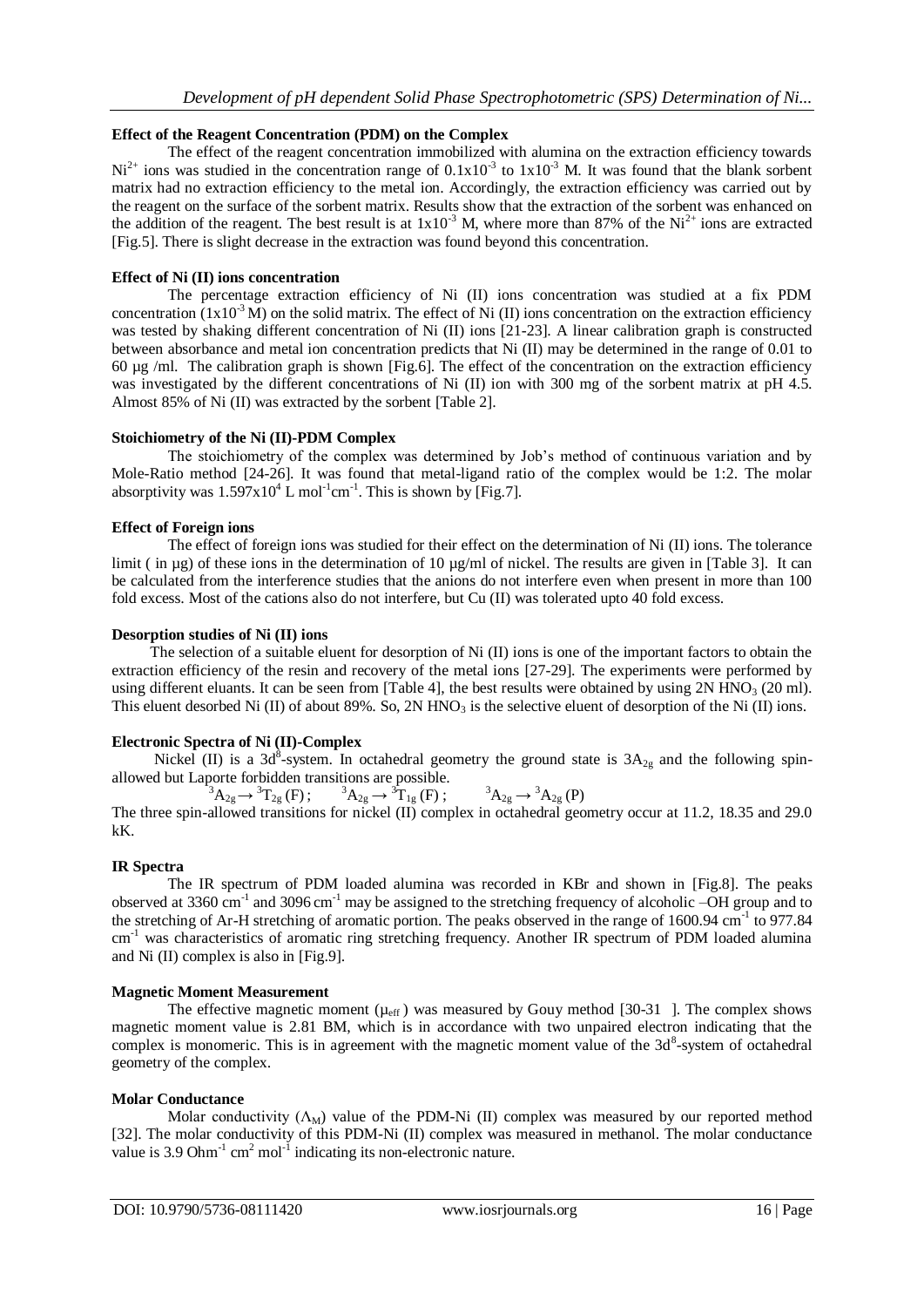## **Effect of the Reagent Concentration (PDM) on the Complex**

The effect of the reagent concentration immobilized with alumina on the extraction efficiency towards  $Ni<sup>2+</sup>$  ions was studied in the concentration range of  $0.1x10^{-3}$  to  $1x10^{-3}$  M. It was found that the blank sorbent matrix had no extraction efficiency to the metal ion. Accordingly, the extraction efficiency was carried out by the reagent on the surface of the sorbent matrix. Results show that the extraction of the sorbent was enhanced on the addition of the reagent. The best result is at  $1x10^{-3}$  M, where more than 87% of the Ni<sup>2+</sup> ions are extracted [Fig.5]. There is slight decrease in the extraction was found beyond this concentration.

## **Effect of Ni (II) ions concentration**

The percentage extraction efficiency of Ni (II) ions concentration was studied at a fix PDM concentration (1x10<sup>-3</sup> M) on the solid matrix. The effect of Ni (II) ions concentration on the extraction efficiency was tested by shaking different concentration of Ni (II) ions [21-23]. A linear calibration graph is constructed between absorbance and metal ion concentration predicts that Ni (II) may be determined in the range of 0.01 to 60 µg /ml. The calibration graph is shown [Fig.6]. The effect of the concentration on the extraction efficiency was investigated by the different concentrations of Ni (II) ion with 300 mg of the sorbent matrix at pH 4.5. Almost 85% of Ni (II) was extracted by the sorbent [Table 2].

## **Stoichiometry of the Ni (II)-PDM Complex**

The stoichiometry of the complex was determined by Job's method of continuous variation and by Mole-Ratio method [24-26]. It was found that metal-ligand ratio of the complex would be 1:2. The molar absorptivity was  $1.597 \times 10^4$  L mol<sup>-1</sup>cm<sup>-1</sup>. This is shown by [Fig.7].

## **Effect of Foreign ions**

The effect of foreign ions was studied for their effect on the determination of Ni (II) ions. The tolerance limit ( in  $\mu$ g) of these ions in the determination of 10  $\mu$ g/ml of nickel. The results are given in [Table 3]. It can be calculated from the interference studies that the anions do not interfere even when present in more than 100 fold excess. Most of the cations also do not interfere, but Cu (II) was tolerated upto 40 fold excess.

#### **Desorption studies of Ni (II) ions**

 The selection of a suitable eluent for desorption of Ni (II) ions is one of the important factors to obtain the extraction efficiency of the resin and recovery of the metal ions [27-29]. The experiments were performed by using different eluants. It can be seen from [Table 4], the best results were obtained by using  $2N HNO<sub>3</sub>$  (20 ml). This eluent desorbed Ni (II) of about 89%. So, 2N HNO<sub>3</sub> is the selective eluent of desorption of the Ni (II) ions.

## **Electronic Spectra of Ni (II)-Complex**

Nickel (II) is a 3d<sup>8</sup>-system. In octahedral geometry the ground state is  $3A_{2g}$  and the following spinallowed but Laporte forbidden transitions are possible.

 ${}^{3}A_{2g} \rightarrow {}^{3}T_{2g}$  (F);  ${}^{3}A_{2g} \rightarrow {}^{3}T_{1g}$  (F);  ${}^{3}A_{2g} \rightarrow$  ${}^3A_{29} \rightarrow {}^3A_{29}$  (P) The three spin-allowed transitions for nickel (II) complex in octahedral geometry occur at 11.2, 18.35 and 29.0 kK.

## **IR Spectra**

The IR spectrum of PDM loaded alumina was recorded in KBr and shown in [Fig.8]. The peaks observed at 3360 cm<sup>-1</sup> and 3096 cm<sup>-1</sup> may be assigned to the stretching frequency of alcoholic –OH group and to the stretching of Ar-H stretching of aromatic portion. The peaks observed in the range of 1600.94 cm<sup>-1</sup> to 977.84 cm<sup>-1</sup> was characteristics of aromatic ring stretching frequency. Another IR spectrum of PDM loaded alumina and Ni (II) complex is also in [Fig.9].

#### **Magnetic Moment Measurement**

The effective magnetic moment ( $\mu_{\text{eff}}$ ) was measured by Gouy method [30-31 ]. The complex shows magnetic moment value is 2.81 BM, which is in accordance with two unpaired electron indicating that the complex is monomeric. This is in agreement with the magnetic moment value of the  $3d<sup>8</sup>$ -system of octahedral geometry of the complex.

#### **Molar Conductance**

Molar conductivity  $(\Lambda_M)$  value of the PDM-Ni (II) complex was measured by our reported method [32]. The molar conductivity of this PDM-Ni (II) complex was measured in methanol. The molar conductance value is 3.9 Ohm<sup>-1</sup> cm<sup>2</sup> mol<sup>-1</sup> indicating its non-electronic nature.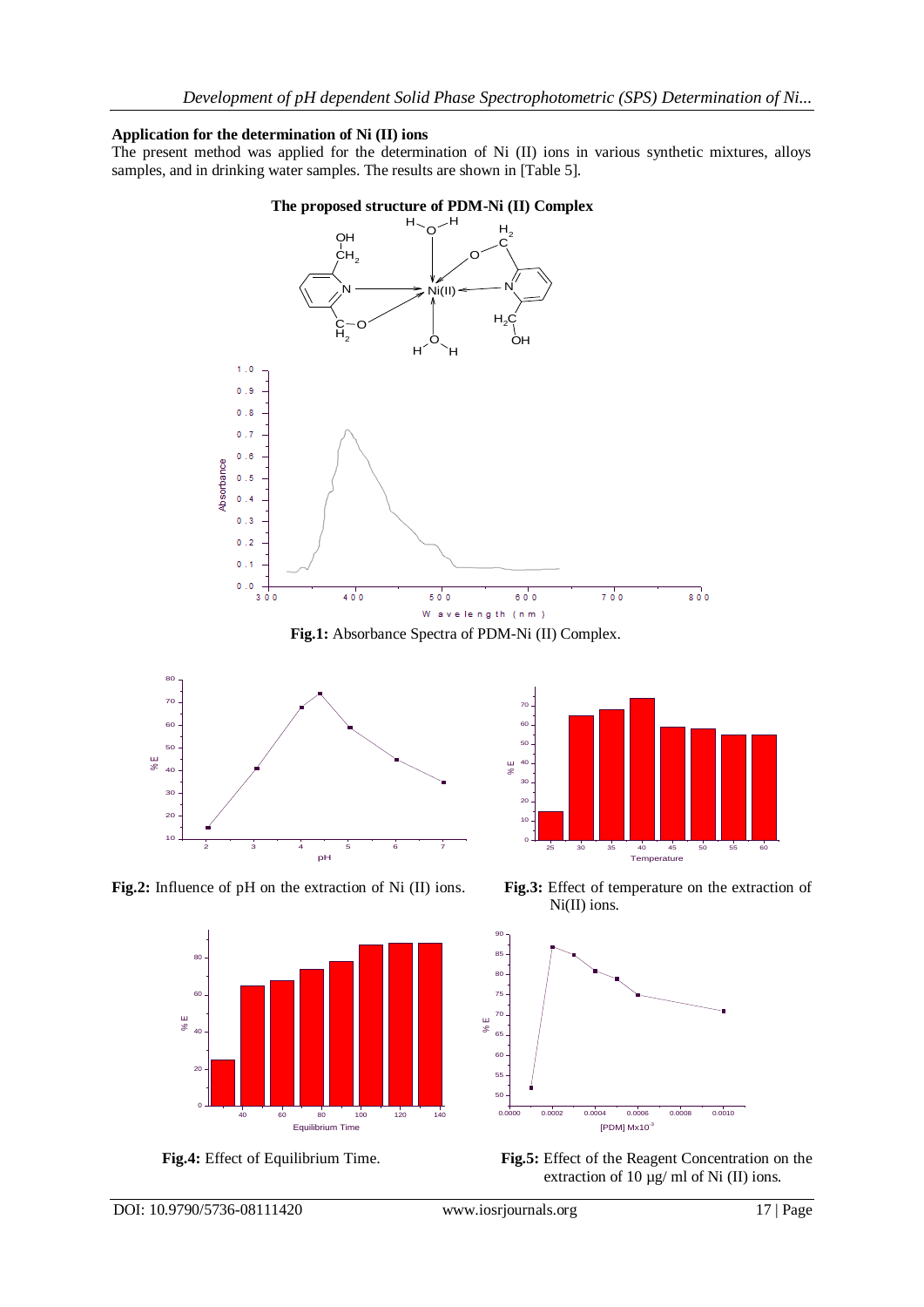## **Application for the determination of Ni (II) ions**

The present method was applied for the determination of Ni (II) ions in various synthetic mixtures, alloys samples, and in drinking water samples. The results are shown in [Table 5].









**Fig.2:** Influence of pH on the extraction of Ni (II) ions. **Fig.3:** Effect of temperature on the extraction of











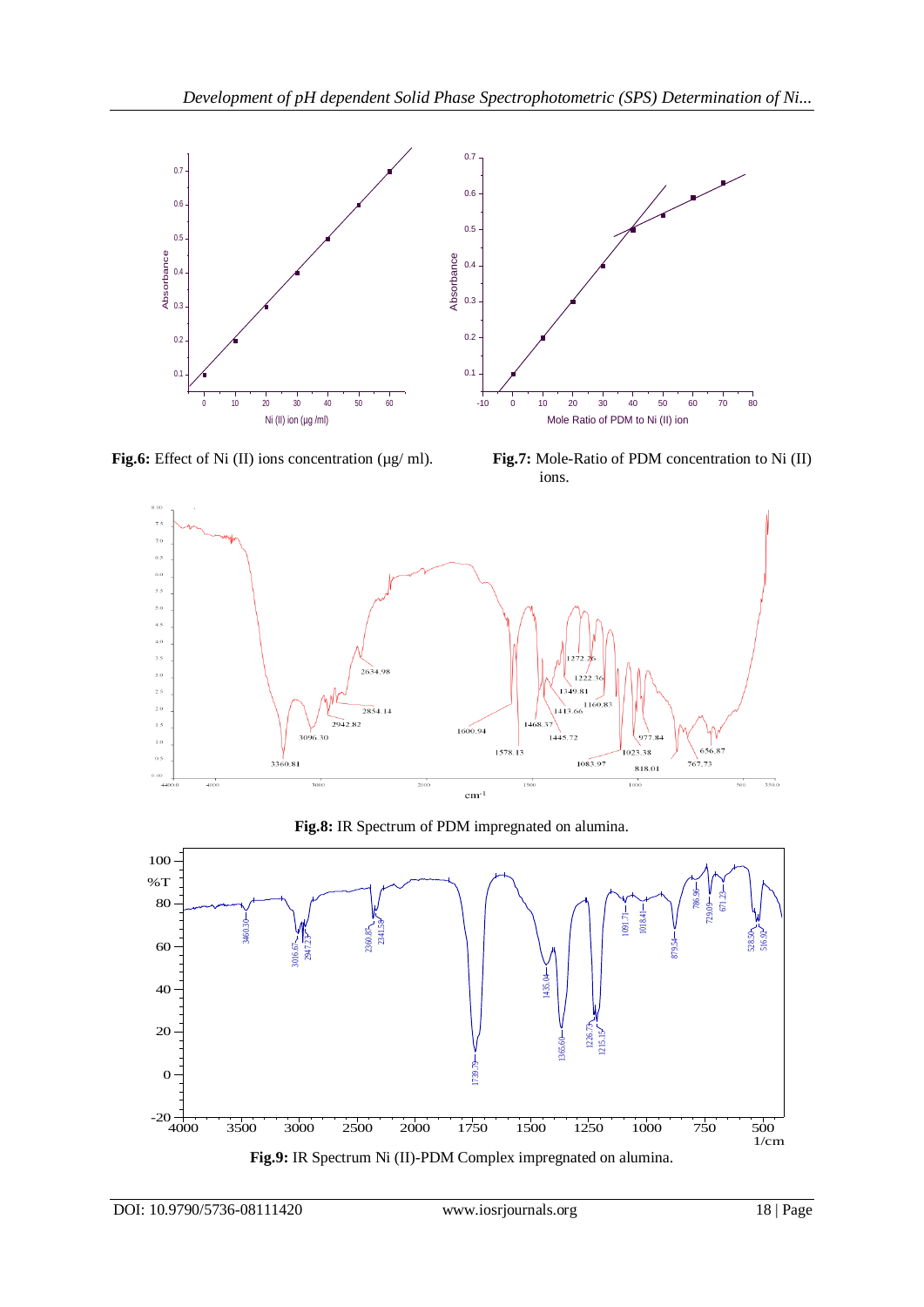

Fig.6: Effect of Ni (II) ions concentration (µg/ ml). Fig.7: Mole-Ratio of PDM concentration to Ni (II) ions.



**Fig.8:** IR Spectrum of PDM impregnated on alumina.

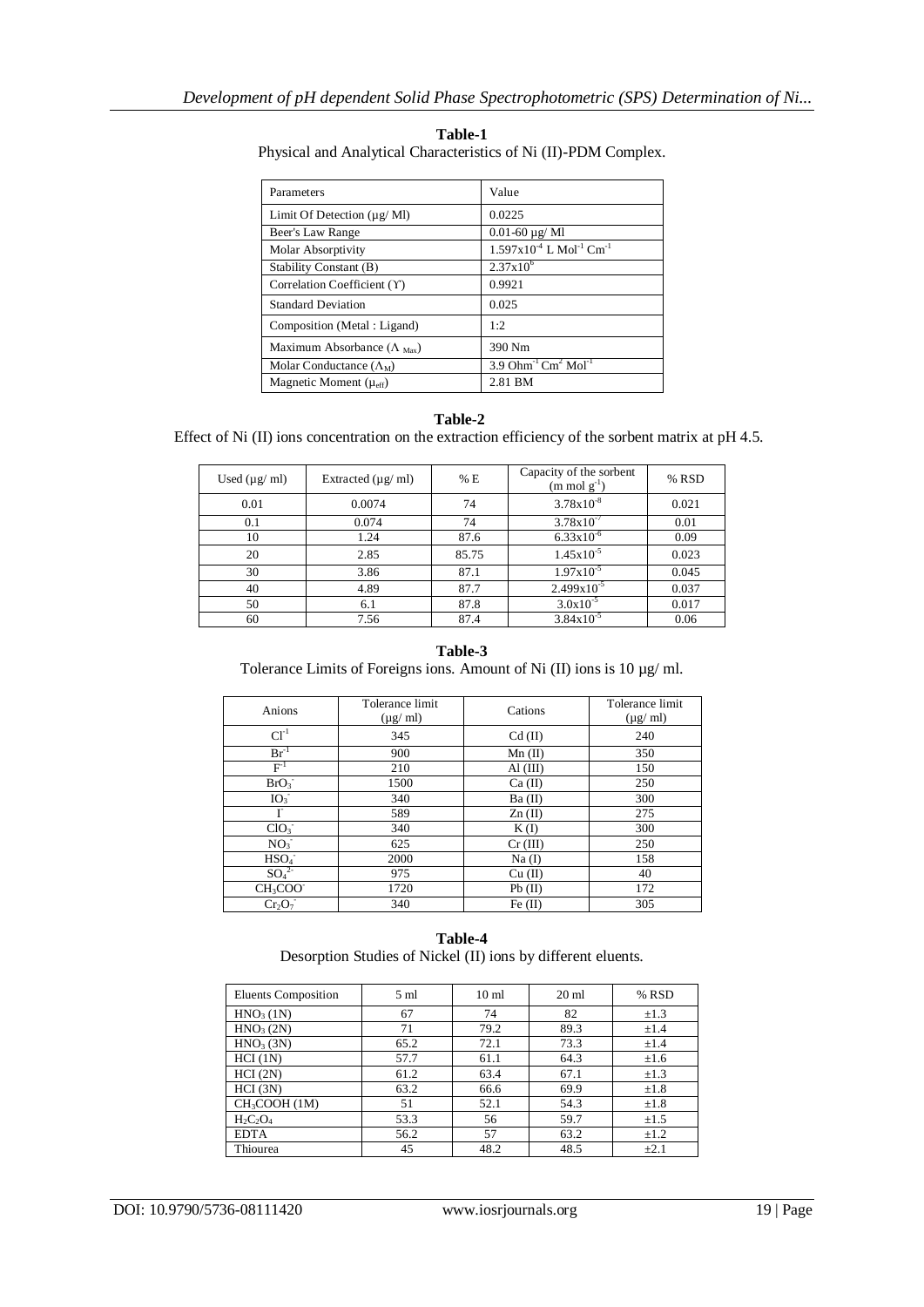| Parameters                                    | Value                                                   |
|-----------------------------------------------|---------------------------------------------------------|
| Limit Of Detection $(\mu g/Ml)$               | 0.0225                                                  |
| Beer's Law Range                              | $0.01 - 60 \mu g$ /Ml                                   |
| Molar Absorptivity                            | $1.597x10^{4}$ L Mol <sup>-1</sup> Cm <sup>-1</sup>     |
| Stability Constant (B)                        | $2.37x10^{6}$                                           |
| Correlation Coefficient (Y)                   | 0.9921                                                  |
| <b>Standard Deviation</b>                     | 0.025                                                   |
| Composition (Metal: Ligand)                   | 1:2                                                     |
| Maximum Absorbance ( $\Lambda_{\text{Max}}$ ) | 390 Nm                                                  |
| Molar Conductance $(\Lambda_M)$               | 3.9 Ohm <sup>-1</sup> Cm <sup>2</sup> Mol <sup>-1</sup> |
| Magnetic Moment $(\mu_{eff})$                 | 2.81 BM                                                 |

**Table-1** Physical and Analytical Characteristics of Ni (II)-PDM Complex.

# **Table-2**

Effect of Ni (II) ions concentration on the extraction efficiency of the sorbent matrix at pH 4.5.

| Used $(\mu g/ml)$ | Extracted $(\mu g / \text{ml})$ | % E   | Capacity of the sorbent<br>$(m \text{ mol } g^{-1})$ | % RSD |
|-------------------|---------------------------------|-------|------------------------------------------------------|-------|
| 0.01              | 0.0074                          | 74    | $3.78x10^{-8}$                                       | 0.021 |
| 0.1               | 0.074                           | 74    | $3.78x10^{-7}$                                       | 0.01  |
| 10                | 1.24                            | 87.6  | $6.33x10^{-6}$                                       | 0.09  |
| 20                | 2.85                            | 85.75 | $1.45x10^{-5}$                                       | 0.023 |
| 30                | 3.86                            | 87.1  | $1.97x10^{-5}$                                       | 0.045 |
| 40                | 4.89                            | 87.7  | $2.499x10^{-5}$                                      | 0.037 |
| 50                | 6.1                             | 87.8  | $3.0x10^{-5}$                                        | 0.017 |
| 60                | 7.56                            | 87.4  | $3.84 \times 10^{-5}$                                | 0.06  |

## **Table-3**

Tolerance Limits of Foreigns ions. Amount of Ni (II) ions is 10 µg/ ml.

| Anions                           | Tolerance limit<br>$(\mu g/\text{ml})$ | Cations   | Tolerance limit<br>$(\mu g/\text{ml})$ |  |
|----------------------------------|----------------------------------------|-----------|----------------------------------------|--|
| $Cl^{-1}$                        | 345                                    | $Cd$ (II) | 240                                    |  |
| $Br^{-1}$                        | 900                                    | $Mn$ (II) | 350                                    |  |
| $F-1$                            | 210                                    | AI(III)   | 150                                    |  |
| BrO <sub>3</sub>                 | 1500                                   | Ca (II)   | 250                                    |  |
| IO <sub>3</sub>                  | 340                                    | Ba (II)   | 300                                    |  |
| Г                                | 589                                    | Zn(II)    | 275                                    |  |
| ClO <sub>3</sub>                 | 340                                    | K(I)      | 300                                    |  |
| NO <sub>3</sub>                  | 625                                    | Cr (III)  | 250                                    |  |
| HSO <sub>4</sub>                 | 2000                                   | $Na$ (I)  | 158                                    |  |
| SO <sub>4</sub> <sup>2</sup>     | 975                                    | Cu (II)   | 40                                     |  |
| CH <sub>3</sub> COO <sup>-</sup> | 1720                                   | Pb(II)    | 172                                    |  |
| Cr <sub>2</sub> O <sub>7</sub>   | 340                                    | Fe (II)   | 305                                    |  |

## **Table-4**

Desorption Studies of Nickel (II) ions by different eluents.

| <b>Eluents Composition</b> | 5 ml | 10 <sub>ml</sub> | $20 \text{ ml}$ | % RSD     |
|----------------------------|------|------------------|-----------------|-----------|
| HNO <sub>3</sub> (1N)      | 67   | 74               | 82              | $\pm 1.3$ |
| HNO <sub>3</sub> (2N)      | 71   | 79.2             | 89.3            | ±1.4      |
| HNO <sub>3</sub> (3N)      | 65.2 | 72.1             | 73.3            | ±1.4      |
| HCI(1N)                    | 57.7 | 61.1             | 64.3            | $\pm 1.6$ |
| HCI(2N)                    | 61.2 | 63.4             | 67.1            | $\pm 1.3$ |
| HCI (3N)                   | 63.2 | 66.6             | 69.9            | $\pm 1.8$ |
| CH <sub>3</sub> COOH (1M)  | 51   | 52.1             | 54.3            | $\pm 1.8$ |
| $H_2C_2O_4$                | 53.3 | 56               | 59.7            | $\pm 1.5$ |
| <b>EDTA</b>                | 56.2 | 57               | 63.2            | $\pm 1.2$ |
| Thiourea                   | 45   | 48.2             | 48.5            | $\pm 2.1$ |